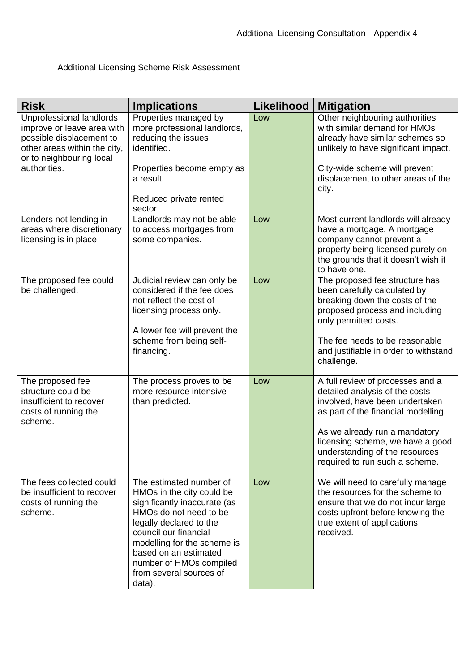## Additional Licensing Scheme Risk Assessment

| <b>Risk</b>                                                                                                                                    | <b>Implications</b>                                                                                                                                                                                                                                                                        | <b>Likelihood</b> | <b>Mitigation</b>                                                                                                                                                                          |
|------------------------------------------------------------------------------------------------------------------------------------------------|--------------------------------------------------------------------------------------------------------------------------------------------------------------------------------------------------------------------------------------------------------------------------------------------|-------------------|--------------------------------------------------------------------------------------------------------------------------------------------------------------------------------------------|
| Unprofessional landlords<br>improve or leave area with<br>possible displacement to<br>other areas within the city,<br>or to neighbouring local | Properties managed by<br>more professional landlords,<br>reducing the issues<br>identified.                                                                                                                                                                                                | Low               | Other neighbouring authorities<br>with similar demand for HMOs<br>already have similar schemes so<br>unlikely to have significant impact.                                                  |
| authorities.                                                                                                                                   | Properties become empty as<br>a result.<br>Reduced private rented<br>sector.                                                                                                                                                                                                               |                   | City-wide scheme will prevent<br>displacement to other areas of the<br>city.                                                                                                               |
| Lenders not lending in<br>areas where discretionary<br>licensing is in place.                                                                  | Landlords may not be able<br>to access mortgages from<br>some companies.                                                                                                                                                                                                                   | Low               | Most current landlords will already<br>have a mortgage. A mortgage<br>company cannot prevent a<br>property being licensed purely on<br>the grounds that it doesn't wish it<br>to have one. |
| The proposed fee could<br>be challenged.                                                                                                       | Judicial review can only be<br>considered if the fee does<br>not reflect the cost of<br>licensing process only.<br>A lower fee will prevent the                                                                                                                                            | Low               | The proposed fee structure has<br>been carefully calculated by<br>breaking down the costs of the<br>proposed process and including<br>only permitted costs.                                |
|                                                                                                                                                | scheme from being self-<br>financing.                                                                                                                                                                                                                                                      |                   | The fee needs to be reasonable<br>and justifiable in order to withstand<br>challenge.                                                                                                      |
| The proposed fee<br>structure could be<br>insufficient to recover<br>costs of running the<br>scheme.                                           | The process proves to be<br>more resource intensive<br>than predicted.                                                                                                                                                                                                                     | Low               | A full review of processes and a<br>detailed analysis of the costs<br>involved, have been undertaken<br>as part of the financial modelling.                                                |
|                                                                                                                                                |                                                                                                                                                                                                                                                                                            |                   | As we already run a mandatory<br>licensing scheme, we have a good<br>understanding of the resources<br>required to run such a scheme.                                                      |
| The fees collected could<br>be insufficient to recover<br>costs of running the<br>scheme.                                                      | The estimated number of<br>HMOs in the city could be<br>significantly inaccurate (as<br>HMOs do not need to be<br>legally declared to the<br>council our financial<br>modelling for the scheme is<br>based on an estimated<br>number of HMOs compiled<br>from several sources of<br>data). | Low               | We will need to carefully manage<br>the resources for the scheme to<br>ensure that we do not incur large<br>costs upfront before knowing the<br>true extent of applications<br>received.   |